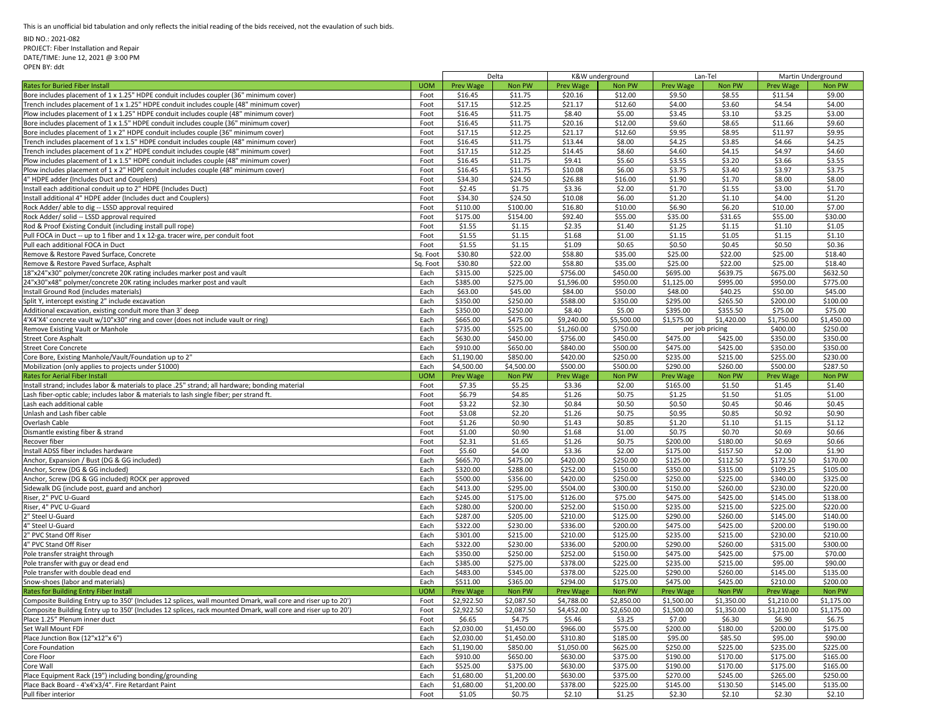BID NO.: 2021-082

## PROJECT: Fiber Installation and Repair DATE/TIME: June 12, 2021 @ 3:00 PM

OPEN BY: ddt

|                                                                                                                                                                                                                              |                  | Delta                |                      | K&W underground      |                      | Lan-Tel              |                      | Martin Underground   |                      |
|------------------------------------------------------------------------------------------------------------------------------------------------------------------------------------------------------------------------------|------------------|----------------------|----------------------|----------------------|----------------------|----------------------|----------------------|----------------------|----------------------|
| <b>Rates for Buried Fiber Install</b>                                                                                                                                                                                        | <b>UOM</b>       | <b>Prev Wage</b>     | Non PW               | Prev Wage            | Non PW               | Prev Wage            | Non PW               | Prev Wage            | Non PW               |
| Bore includes placement of 1 x 1.25" HDPE conduit includes coupler (36" minimum cover)                                                                                                                                       | Foot             | \$16.45              | \$11.75              | \$20.16              | \$12.00              | \$9.50               | \$8.55               | \$11.54              | \$9.00               |
| Trench includes placement of 1 x 1.25" HDPE conduit includes couple (48" minimum cover)                                                                                                                                      | Foot             | \$17.15              | \$12.25              | \$21.17              | \$12.60              | \$4.00               | \$3.60               | \$4.54               | \$4.00               |
| Plow includes placement of 1 x 1.25" HDPE conduit includes couple (48" minimum cover)                                                                                                                                        | Foot             | \$16.45              | \$11.75              | \$8.40               | \$5.00               | \$3.45               | \$3.10               | \$3.25               | \$3.00               |
| Bore includes placement of 1 x 1.5" HDPE conduit includes couple (36" minimum cover)                                                                                                                                         | Foot             | \$16.45              | \$11.75              | \$20.16              | \$12.00              | \$9.60               | \$8.65               | \$11.66              | \$9.60               |
| Bore includes placement of 1 x 2" HDPE conduit includes couple (36" minimum cover)                                                                                                                                           | Foot             | \$17.15              | \$12.25              | \$21.17              | \$12.60              | \$9.95               | \$8.95               | \$11.97              | \$9.95               |
| Trench includes placement of 1 x 1.5" HDPE conduit includes couple (48" minimum cover)                                                                                                                                       | Foot             | \$16.45              | \$11.75              | \$13.44              | \$8.00               | \$4.25               | \$3.85               | \$4.66               | \$4.25               |
| Trench includes placement of 1 x 2" HDPE conduit includes couple (48" minimum cover)                                                                                                                                         | Foot             | \$17.15              | \$12.25              | \$14.45              | \$8.60               | \$4.60               | \$4.15               | \$4.97               | \$4.60               |
| Plow includes placement of 1 x 1.5" HDPE conduit includes couple (48" minimum cover)                                                                                                                                         | Foot             | \$16.45              | \$11.75              | \$9.41               | \$5.60               | \$3.55               | \$3.20               | \$3.66               | \$3.55               |
| Plow includes placement of 1 x 2" HDPE conduit includes couple (48" minimum cover)                                                                                                                                           | Foot             | \$16.45              | \$11.75              | \$10.08              | \$6.00               | \$3.75               | \$3.40               | \$3.97               | \$3.75               |
| 4" HDPE adder (Includes Duct and Couplers)                                                                                                                                                                                   | Foot             | \$34.30              | \$24.50              | \$26.88              | \$16.00              | \$1.90               | \$1.70               | \$8.00               | \$8.00               |
| Install each additional conduit up to 2" HDPE (Includes Duct)                                                                                                                                                                | Foot             | \$2.45               | \$1.75               | \$3.36               | \$2.00               | \$1.70               | \$1.55               | \$3.00               | \$1.70               |
| Install additional 4" HDPE adder (Includes duct and Couplers)                                                                                                                                                                | Foot             | \$34.30              | \$24.50              | \$10.08              | \$6.00               | \$1.20               | \$1.10               | \$4.00               | \$1.20               |
| Rock Adder/ able to dig -- LSSD approval required                                                                                                                                                                            | Foot             | \$110.00             | \$100.00             | \$16.80              | \$10.00              | \$6.90               | \$6.20               | \$10.00              | \$7.00               |
| Rock Adder/ solid -- LSSD approval required                                                                                                                                                                                  | Foot             | \$175.00             | \$154.00             | \$92.40              | \$55.00              | \$35.00              | \$31.65              | \$55.00              | \$30.00              |
| Rod & Proof Existing Conduit (including install pull rope)                                                                                                                                                                   | Foot             | \$1.55               | \$1.15               | \$2.35               | \$1.40               | \$1.25               | \$1.15               | \$1.10               | \$1.05               |
| Pull FOCA in Duct -- up to 1 fiber and 1 x 12-ga. tracer wire, per conduit foot                                                                                                                                              | Foot             | \$1.55               | \$1.15               | \$1.68               | \$1.00               | \$1.15               | \$1.05               | \$1.15               | \$1.10               |
| Pull each additional FOCA in Duct                                                                                                                                                                                            | Foot             | \$1.55               | \$1.15               | \$1.09               | \$0.65               | \$0.50               | \$0.45               | \$0.50               | \$0.36               |
| Remove & Restore Paved Surface, Concrete                                                                                                                                                                                     | Sq. Foot         | \$30.80              | \$22.00              | \$58.80              | \$35.00              | \$25.00              | \$22.00              | \$25.00              | \$18.40              |
|                                                                                                                                                                                                                              |                  | \$30.80              |                      | \$58.80              | \$35.00              | \$25.00              | \$22.00              | \$25.00              |                      |
| Remove & Restore Paved Surface, Asphalt                                                                                                                                                                                      | Sq. Foot<br>Each | \$315.00             | \$22.00<br>\$225.00  |                      | \$450.00             |                      | \$639.75             | \$675.00             | \$18.40<br>\$632.50  |
| 18"x24"x30" polymer/concrete 20K rating includes marker post and vault                                                                                                                                                       |                  |                      |                      | \$756.00             |                      | \$695.00             |                      |                      |                      |
| 24"x30"x48" polymer/concrete 20K rating includes marker post and vault                                                                                                                                                       | Each             | \$385.00             | \$275.00             | \$1,596.00           | \$950.00             | \$1,125.00           | \$995.00             | \$950.00             | \$775.00             |
| Install Ground Rod (includes materials)                                                                                                                                                                                      | Each             | \$63.00              | \$45.00              | \$84.00              | \$50.00              | \$48.00              | \$40.25              | \$50.00              | \$45.00              |
| Split Y, intercept existing 2" include excavation                                                                                                                                                                            | Each             | \$350.00             | \$250.00             | \$588.00             | \$350.00             | \$295.00             | \$265.50             | \$200.00             | \$100.00             |
| Additional excavation, existing conduit more than 3' deep                                                                                                                                                                    | Each             | \$350.00             | \$250.00             | \$8.40               | \$5.00               | \$395.00             | \$355.50             | \$75.00              | \$75.00              |
| 4'X4'X4' concrete vault w/10"x30" ring and cover (does not include vault or ring)                                                                                                                                            | Each             | \$665.00             | \$475.00             | \$9,240.00           | \$5,500.00           | \$1,575.00           | \$1,420.00           | \$1,750.00           | \$1,450.00           |
| Remove Existing Vault or Manhole                                                                                                                                                                                             | Each             | \$735.00             | \$525.00             | \$1,260.00           | \$750.00             |                      | per job pricing      | \$400.00             | \$250.00             |
| <b>Street Core Asphalt</b>                                                                                                                                                                                                   | Each             | \$630.00             | \$450.00             | \$756.00             | \$450.00             | \$475.00             | \$425.00             | \$350.00             | \$350.00             |
| <b>Street Core Concrete</b>                                                                                                                                                                                                  | Each             | \$910.00             | \$650.00             | \$840.00             | \$500.00             | \$475.00             | \$425.00             | \$350.00             | \$350.00             |
| Core Bore, Existing Manhole/Vault/Foundation up to 2"                                                                                                                                                                        | Each             | \$1,190.00           | \$850.00             | \$420.00             | \$250.00             | \$235.00             | \$215.00             | \$255.00             | \$230.00             |
| Mobilization (only applies to projects under \$1000)                                                                                                                                                                         | Each             | \$4,500.00           | \$4,500.00           | \$500.00             | \$500.00             | \$290.00             | \$260.00             | \$500.00             | \$287.50             |
| <b>Rates for Aerial Fiber Install</b>                                                                                                                                                                                        | <b>UOM</b>       | <b>Prev Wage</b>     | Non PW               | <b>Prev Wage</b>     | Non PW               | <b>Prev Wage</b>     | Non PW               | <b>Prev Wage</b>     | Non PW               |
| Install strand; includes labor & materials to place .25" strand; all hardware; bonding material                                                                                                                              | Foot             | \$7.35               | \$5.25               | \$3.36               | \$2.00               | \$165.00             | \$1.50               | \$1.45               | \$1.40               |
| Lash fiber-optic cable; includes labor & materials to lash single fiber; per strand ft.                                                                                                                                      | Foot             | \$6.79               | \$4.85               | \$1.26               | \$0.75               | \$1.25               | \$1.50               | \$1.05               | \$1.00               |
| Lash each additional cable                                                                                                                                                                                                   | Foot             | \$3.22               | \$2.30               | \$0.84               | \$0.50               | \$0.50<br>\$0.95     | \$0.45               | \$0.46<br>\$0.92     | \$0.45<br>\$0.90     |
| Unlash and Lash fiber cable<br>Overlash Cable                                                                                                                                                                                | Foot<br>Foot     | \$3.08               | \$2.20<br>\$0.90     | \$1.26<br>\$1.43     | \$0.75<br>\$0.85     | \$1.20               | \$0.85<br>\$1.10     | \$1.15               | \$1.12               |
| Dismantle existing fiber & strand                                                                                                                                                                                            | Foot             | \$1.26<br>\$1.00     | \$0.90               | \$1.68               | \$1.00               | \$0.75               | \$0.70               | \$0.69               | \$0.66               |
| Recover fiber                                                                                                                                                                                                                | Foot             | \$2.31               | \$1.65               | \$1.26               | \$0.75               | \$200.00             | \$180.00             | \$0.69               | \$0.66               |
| Install ADSS fiber includes hardware                                                                                                                                                                                         |                  |                      | \$4.00               | \$3.36               |                      |                      |                      | \$2.00               | \$1.90               |
|                                                                                                                                                                                                                              | Foot             | \$5.60               |                      |                      | \$2.00               | \$175.00             | \$157.50             |                      |                      |
| Anchor, Expansion / Bust (DG & GG included)                                                                                                                                                                                  | Each             | \$665.70             | \$475.00             | \$420.00             | \$250.00             | \$125.00             | \$112.50             | \$172.50             | \$170.00             |
| Anchor, Screw (DG & GG included)                                                                                                                                                                                             | Each             | \$320.00             | \$288.00             | \$252.00             | \$150.00             | \$350.00             | \$315.00             | \$109.25             | \$105.00             |
| Anchor, Screw (DG & GG included) ROCK per approved                                                                                                                                                                           | Each             | \$500.00             | \$356.00             | \$420.00             | \$250.00             | \$250.00             | \$225.00             | \$340.00             | \$325.00             |
| Sidewalk DG (include post, guard and anchor)                                                                                                                                                                                 | Each             | \$413.00             | \$295.00             | \$504.00             | \$300.00             | \$150.00             | \$260.00             | \$230.00             | \$220.00             |
| Riser, 2" PVC U-Guard<br>Riser, 4" PVC U-Guard                                                                                                                                                                               | Each             | \$245.00<br>\$280.00 | \$175.00<br>\$200.00 | \$126.00             | \$75.00<br>\$150.00  | \$475.00             | \$425.00             | \$145.00<br>\$225.00 | \$138.00<br>\$220.00 |
|                                                                                                                                                                                                                              | Each<br>Each     | \$287.00             | \$205.00             | \$252.00<br>\$210.00 | \$125.00             | \$235.00<br>\$290.00 | \$215.00             | \$145.00             | \$140.00             |
| 2" Steel U-Guard<br>4" Steel U-Guard                                                                                                                                                                                         |                  | \$322.00             | \$230.00             | \$336.00             | \$200.00             | \$475.00             | \$260.00<br>\$425.00 | \$200.00             | \$190.00             |
| 2" PVC Stand Off Riser                                                                                                                                                                                                       | Each<br>Each     | \$301.00             | \$215.00             | \$210.00             | \$125.00             | \$235.00             | \$215.00             | \$230.00             | \$210.00             |
| 4" PVC Stand Off Riser                                                                                                                                                                                                       | Each             | \$322.00             | \$230.00             | \$336.00             | \$200.00             | \$290.00             | \$260.00             | \$315.00             | \$300.00             |
|                                                                                                                                                                                                                              |                  |                      |                      |                      |                      |                      |                      |                      | \$70.00              |
| Pole transfer straight through<br>Pole transfer with guy or dead end                                                                                                                                                         | Each<br>Each     | \$350.00<br>\$385.00 | \$250.00<br>\$275.00 | \$252.00<br>\$378.00 | \$150.00<br>\$225.00 | \$475.00<br>\$235.00 | \$425.00<br>\$215.00 | \$75.00<br>\$95.00   | \$90.00              |
|                                                                                                                                                                                                                              | Each             | \$483.00             | \$345.00             | \$378.00             | \$225.00             | \$290.00             | \$260.00             | \$145.00             | \$135.00             |
| Pole transfer with double dead end                                                                                                                                                                                           | Each             | \$511.00             | \$365.00             | \$294.00             | \$175.00             | \$475.00             | \$425.00             | \$210.00             | \$200.00             |
| Snow-shoes (labor and materials)<br>Rates for Building Entry Fiber Install                                                                                                                                                   | <b>UOM</b>       | <b>Prev Wage</b>     | Non PW               | <b>Prev Wage</b>     | Non PW               | <b>Prev Wage</b>     | Non PW               | Prev Wage            | Non PW               |
|                                                                                                                                                                                                                              | Foot             | \$2.922.50           | \$2,087.50           | \$4,788.00           | \$2,850.00           | \$1,500.00           | \$1,350.00           | \$1,210.00           | \$1.175.00           |
| Composite Building Entry up to 350' (Includes 12 splices, wall mounted Dmark, wall core and riser up to 20')<br>Composite Building Entry up to 350' (Includes 12 splices, rack mounted Dmark, wall core and riser up to 20') | Foot             | \$2,922.50           | \$2,087.50           | \$4,452.00           | \$2,650.00           | \$1,500.00           | \$1,350.00           | \$1,210.00           | \$1,175.00           |
| Place 1.25" Plenum inner duct                                                                                                                                                                                                | Foot             | \$6.65               | \$4.75               | \$5.46               | \$3.25               | \$7.00               | \$6.30               | \$6.90               | \$6.75               |
| Set Wall Mount FDF                                                                                                                                                                                                           | Each             | \$2,030.00           | \$1,450.00           | \$966.00             | \$575.00             | \$200.00             | \$180.00             | \$200.00             | \$175.00             |
| Place Junction Box (12"x12"x 6")                                                                                                                                                                                             |                  | \$2,030.00           | \$1,450.00           | \$310.80             | \$185.00             | \$95.00              | \$85.50              | \$95.00              | \$90.00              |
|                                                                                                                                                                                                                              | Each             | \$1,190.00           | \$850.00             | \$1,050.00           | \$625.00             | \$250.00             | \$225.00             | \$235.00             | \$225.00             |
| Core Foundation<br>Core Floor                                                                                                                                                                                                | Each<br>Each     | \$910.00             | \$650.00             | \$630.00             | \$375.00             | \$190.00             | \$170.00             | \$175.00             | \$165.00             |
| Core Wall                                                                                                                                                                                                                    | Each             | \$525.00             | \$375.00             | \$630.00             | \$375.00             | \$190.00             | \$170.00             | \$175.00             | \$165.00             |
| Place Equipment Rack (19") including bonding/grounding                                                                                                                                                                       | Each             | \$1,680.00           | \$1,200.00           | \$630.00             | \$375.00             | \$270.00             | \$245.00             | \$265.00             | \$250.00             |
| Place Back Board - 4'x4'x3/4". Fire Retardant Paint                                                                                                                                                                          | Each             | \$1,680.00           | \$1,200.00           | \$378.00             | \$225.00             | \$145.00             | \$130.50             | \$145.00             | \$135.00             |
| Pull fiber interior                                                                                                                                                                                                          | Foot             | \$1.05               | \$0.75               | \$2.10               | \$1.25               | \$2.30               | \$2.10               | \$2.30               | \$2.10               |
|                                                                                                                                                                                                                              |                  |                      |                      |                      |                      |                      |                      |                      |                      |